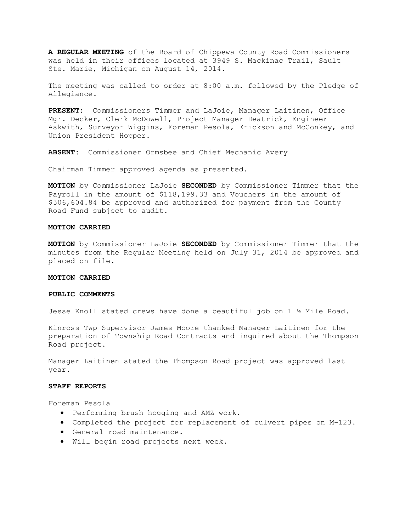**A REGULAR MEETING** of the Board of Chippewa County Road Commissioners was held in their offices located at 3949 S. Mackinac Trail, Sault Ste. Marie, Michigan on August 14, 2014.

The meeting was called to order at 8:00 a.m. followed by the Pledge of Allegiance.

**PRESENT:** Commissioners Timmer and LaJoie, Manager Laitinen, Office Mgr. Decker, Clerk McDowell, Project Manager Deatrick, Engineer Askwith, Surveyor Wiggins, Foreman Pesola, Erickson and McConkey, and Union President Hopper.

**ABSENT:** Commissioner Ormsbee and Chief Mechanic Avery

Chairman Timmer approved agenda as presented.

**MOTION** by Commissioner LaJoie **SECONDED** by Commissioner Timmer that the Payroll in the amount of \$118,199.33 and Vouchers in the amount of \$506,604.84 be approved and authorized for payment from the County Road Fund subject to audit.

# **MOTION CARRIED**

**MOTION** by Commissioner LaJoie **SECONDED** by Commissioner Timmer that the minutes from the Regular Meeting held on July 31, 2014 be approved and placed on file.

#### **MOTION CARRIED**

# **PUBLIC COMMENTS**

Jesse Knoll stated crews have done a beautiful job on 1 ½ Mile Road.

Kinross Twp Supervisor James Moore thanked Manager Laitinen for the preparation of Township Road Contracts and inquired about the Thompson Road project.

Manager Laitinen stated the Thompson Road project was approved last year.

#### **STAFF REPORTS**

Foreman Pesola

- · Performing brush hogging and AMZ work.
- · Completed the project for replacement of culvert pipes on M-123.
- · General road maintenance.
- · Will begin road projects next week.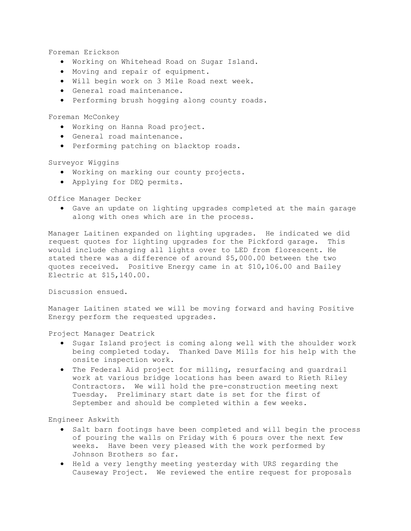Foreman Erickson

- · Working on Whitehead Road on Sugar Island.
- · Moving and repair of equipment.
- · Will begin work on 3 Mile Road next week.
- · General road maintenance.
- · Performing brush hogging along county roads.

Foreman McConkey

- · Working on Hanna Road project.
- · General road maintenance.
- · Performing patching on blacktop roads.

# Surveyor Wiggins

- · Working on marking our county projects.
- · Applying for DEQ permits.

Office Manager Decker

· Gave an update on lighting upgrades completed at the main garage along with ones which are in the process.

Manager Laitinen expanded on lighting upgrades. He indicated we did request quotes for lighting upgrades for the Pickford garage. This would include changing all lights over to LED from florescent. He stated there was a difference of around \$5,000.00 between the two quotes received. Positive Energy came in at \$10,106.00 and Bailey Electric at \$15,140.00.

Discussion ensued.

Manager Laitinen stated we will be moving forward and having Positive Energy perform the requested upgrades.

Project Manager Deatrick

- · Sugar Island project is coming along well with the shoulder work being completed today. Thanked Dave Mills for his help with the onsite inspection work.
- · The Federal Aid project for milling, resurfacing and guardrail work at various bridge locations has been award to Rieth Riley Contractors. We will hold the pre-construction meeting next Tuesday. Preliminary start date is set for the first of September and should be completed within a few weeks.

Engineer Askwith

- · Salt barn footings have been completed and will begin the process of pouring the walls on Friday with 6 pours over the next few weeks. Have been very pleased with the work performed by Johnson Brothers so far.
- · Held a very lengthy meeting yesterday with URS regarding the Causeway Project. We reviewed the entire request for proposals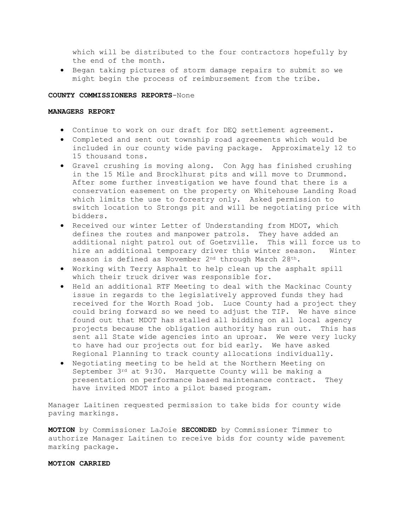which will be distributed to the four contractors hopefully by the end of the month.

· Began taking pictures of storm damage repairs to submit so we might begin the process of reimbursement from the tribe.

# **COUNTY COMMISSIONERS REPORTS**-None

# **MANAGERS REPORT**

- · Continue to work on our draft for DEQ settlement agreement.
- · Completed and sent out township road agreements which would be included in our county wide paving package. Approximately 12 to 15 thousand tons.
- · Gravel crushing is moving along. Con Agg has finished crushing in the 15 Mile and Brocklhurst pits and will move to Drummond. After some further investigation we have found that there is a conservation easement on the property on Whitehouse Landing Road which limits the use to forestry only. Asked permission to switch location to Strongs pit and will be negotiating price with bidders.
- · Received our winter Letter of Understanding from MDOT, which defines the routes and manpower patrols. They have added an additional night patrol out of Goetzville. This will force us to hire an additional temporary driver this winter season. Winter season is defined as November 2nd through March 28th.
- · Working with Terry Asphalt to help clean up the asphalt spill which their truck driver was responsible for.
- · Held an additional RTF Meeting to deal with the Mackinac County issue in regards to the legislatively approved funds they had received for the Worth Road job. Luce County had a project they could bring forward so we need to adjust the TIP. We have since found out that MDOT has stalled all bidding on all local agency projects because the obligation authority has run out. This has sent all State wide agencies into an uproar. We were very lucky to have had our projects out for bid early. We have asked Regional Planning to track county allocations individually.
- · Negotiating meeting to be held at the Northern Meeting on September 3rd at 9:30. Marquette County will be making a presentation on performance based maintenance contract. They have invited MDOT into a pilot based program.

Manager Laitinen requested permission to take bids for county wide paving markings.

**MOTION** by Commissioner LaJoie **SECONDED** by Commissioner Timmer to authorize Manager Laitinen to receive bids for county wide pavement marking package.

## **MOTION CARRIED**